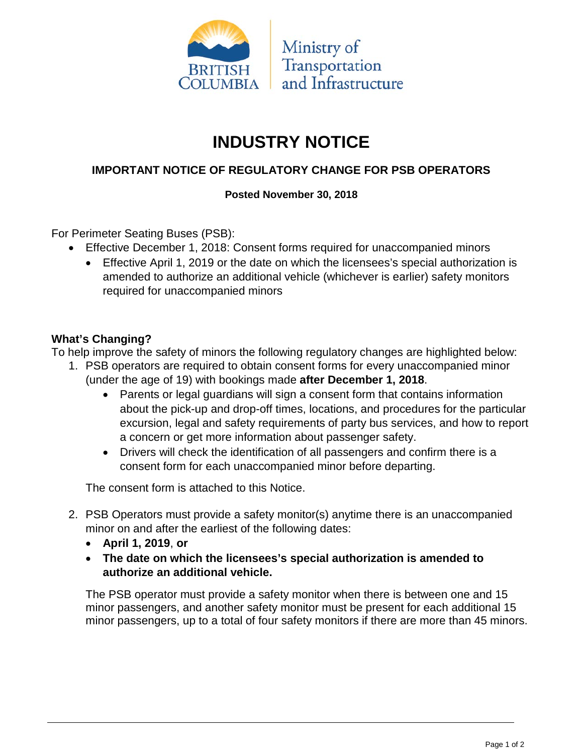

# **INDUSTRY NOTICE**

## **IMPORTANT NOTICE OF REGULATORY CHANGE FOR PSB OPERATORS**

#### **Posted November 30, 2018**

For Perimeter Seating Buses (PSB):

- Effective December 1, 2018: Consent forms required for unaccompanied minors
	- Effective April 1, 2019 or the date on which the licensees's special authorization is amended to authorize an additional vehicle (whichever is earlier) safety monitors required for unaccompanied minors

#### **What's Changing?**

To help improve the safety of minors the following regulatory changes are highlighted below:

- 1. PSB operators are required to obtain consent forms for every unaccompanied minor (under the age of 19) with bookings made **after December 1, 2018**.
	- Parents or legal guardians will sign a consent form that contains information about the pick-up and drop-off times, locations, and procedures for the particular excursion, legal and safety requirements of party bus services, and how to report a concern or get more information about passenger safety.
	- Drivers will check the identification of all passengers and confirm there is a consent form for each unaccompanied minor before departing.

The consent form is attached to this Notice.

- 2. PSB Operators must provide a safety monitor(s) anytime there is an unaccompanied minor on and after the earliest of the following dates:
	- **April 1, 2019**, **or**
	- **The date on which the licensees's special authorization is amended to authorize an additional vehicle.**

The PSB operator must provide a safety monitor when there is between one and 15 minor passengers, and another safety monitor must be present for each additional 15 minor passengers, up to a total of four safety monitors if there are more than 45 minors.